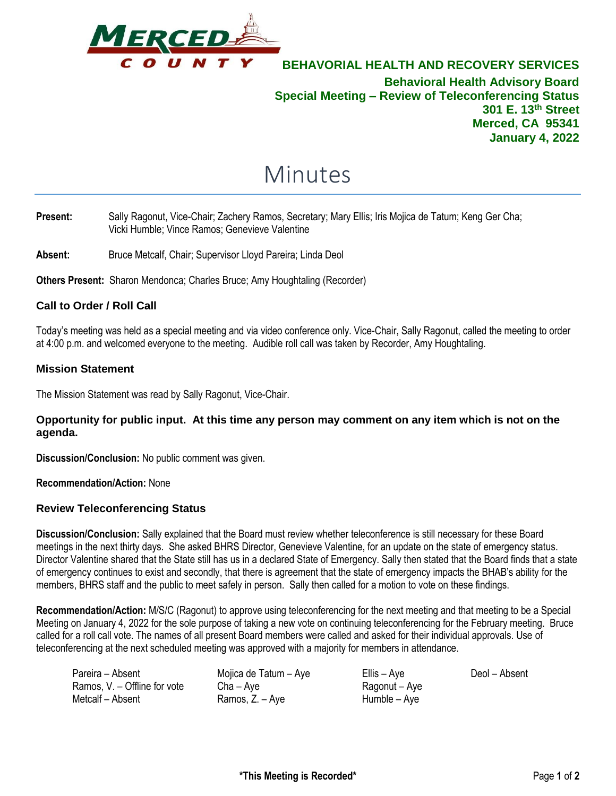

**BEHAVORIAL HEALTH AND RECOVERY SERVICES Behavioral Health Advisory Board Special Meeting – Review of Teleconferencing Status 301 E. 13th Street Merced, CA 95341 January 4, 2022**

# Minutes

### **Present:** Sally Ragonut, Vice-Chair; Zachery Ramos, Secretary; Mary Ellis; Iris Mojica de Tatum; Keng Ger Cha; Vicki Humble; Vince Ramos; Genevieve Valentine

Absent: Bruce Metcalf, Chair; Supervisor Lloyd Pareira; Linda Deol

**Others Present:** Sharon Mendonca; Charles Bruce; Amy Houghtaling (Recorder)

## **Call to Order / Roll Call**

Today's meeting was held as a special meeting and via video conference only. Vice-Chair, Sally Ragonut, called the meeting to order at 4:00 p.m. and welcomed everyone to the meeting. Audible roll call was taken by Recorder, Amy Houghtaling.

#### **Mission Statement**

The Mission Statement was read by Sally Ragonut, Vice-Chair.

#### **Opportunity for public input. At this time any person may comment on any item which is not on the agenda.**

**Discussion/Conclusion:** No public comment was given.

**Recommendation/Action:** None

#### **Review Teleconferencing Status**

**Discussion/Conclusion:** Sally explained that the Board must review whether teleconference is still necessary for these Board meetings in the next thirty days. She asked BHRS Director, Genevieve Valentine, for an update on the state of emergency status. Director Valentine shared that the State still has us in a declared State of Emergency. Sally then stated that the Board finds that a state of emergency continues to exist and secondly, that there is agreement that the state of emergency impacts the BHAB's ability for the members, BHRS staff and the public to meet safely in person. Sally then called for a motion to vote on these findings.

**Recommendation/Action:** M/S/C (Ragonut) to approve using teleconferencing for the next meeting and that meeting to be a Special Meeting on January 4, 2022 for the sole purpose of taking a new vote on continuing teleconferencing for the February meeting. Bruce called for a roll call vote. The names of all present Board members were called and asked for their individual approvals. Use of teleconferencing at the next scheduled meeting was approved with a majority for members in attendance.

| Pareira – Absent             | Mojica de Tatum - Aye | Ellis – Aye   | Deol – Absent |
|------------------------------|-----------------------|---------------|---------------|
| Ramos, V. – Offline for vote | $Cha - Ave$           | Ragonut – Aye |               |
| Metcalf – Absent             | Ramos, Z. – Aye       | Humble – Aye  |               |